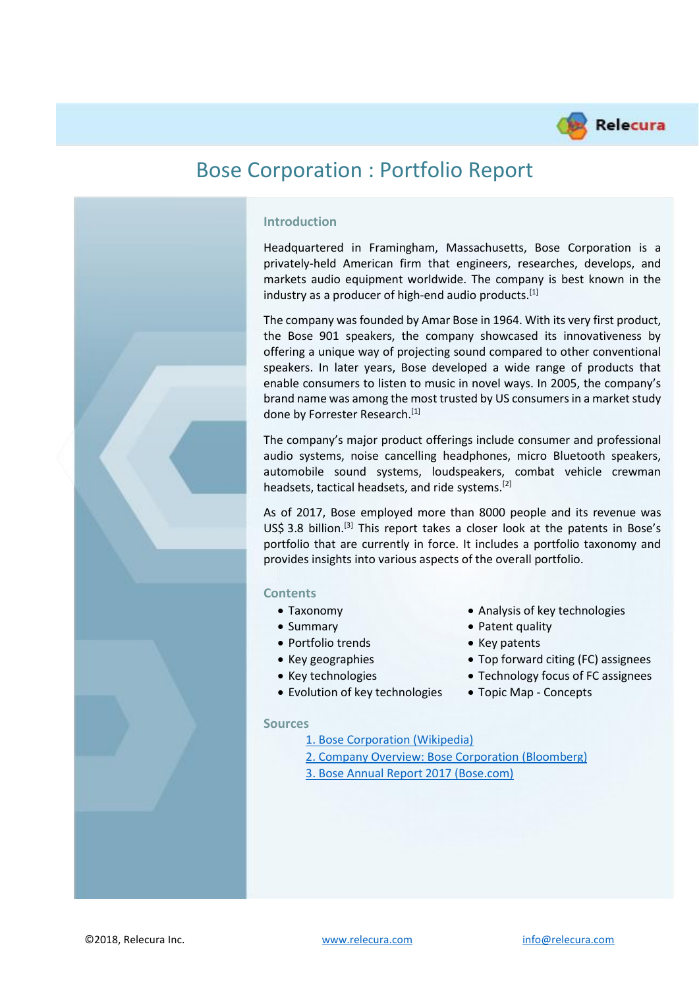



## **Introduction**

Headquartered in Framingham, Massachusetts, Bose Corporation is a privately-held American firm that engineers, researches, develops, and markets audio equipment worldwide. The company is best known in the industry as a producer of high-end audio products.<sup>[1]</sup>

The company was founded by Amar Bose in 1964. With its very first product, the Bose 901 speakers, the company showcased its innovativeness by offering a unique way of projecting sound compared to other conventional speakers. In later years, Bose developed a wide range of products that enable consumers to listen to music in novel ways. In 2005, the company's brand name was among the most trusted by US consumers in a market study done by Forrester Research.<sup>[1]</sup>

The company's major product offerings include consumer and professional audio systems, noise cancelling headphones, micro Bluetooth speakers, automobile sound systems, loudspeakers, combat vehicle crewman headsets, tactical headsets, and ride systems.[2]

As of 2017, Bose employed more than 8000 people and its revenue was US\$ 3.8 billion.<sup>[3]</sup> This report takes a closer look at the patents in Bose's portfolio that are currently in force. It includes a portfolio taxonomy and provides insights into various aspects of the overall portfolio.

#### **Contents**

- 
- 
- Portfolio trends Key patents
- 
- 
- Evolution of key technologies Topic Map Concepts
- Taxonomy Analysis of key technologies
- Summary Patent quality
	-
- Key geographies Top forward citing (FC) assignees
- Key technologies Technology focus of FC assignees
	-

#### **Sources**

- [1. Bose Corporation \(Wikipedia\)](https://en.wikipedia.org/wiki/Bose_Corporation)
- [2. Company Overview: Bose Corporation \(Bloomberg\)](https://www.bloomberg.com/research/stocks/private/snapshot.asp?privcapId=160654&goback=.cps_1243976130554_1)
- [3. Bose Annual Report 2017 \(Bose.com\)](https://assets.bose.com/content/dam/Bose_DAM/Web/consumer_electronics/global/content_pages/corporate/about_us/sustainability/pdf/Bose_2017_Sustainability_Report.pdf)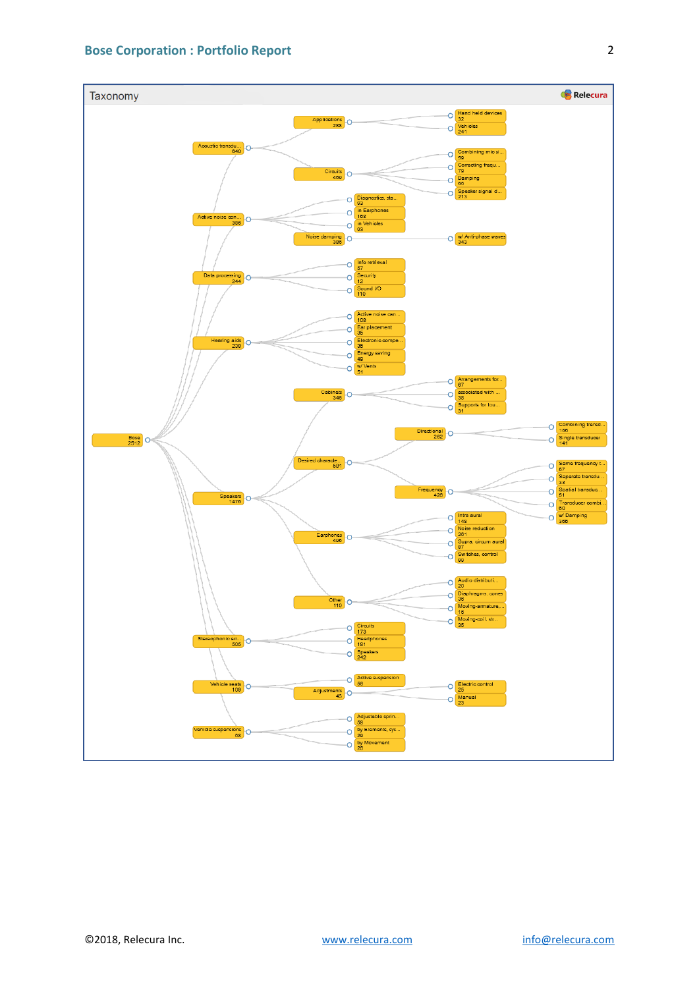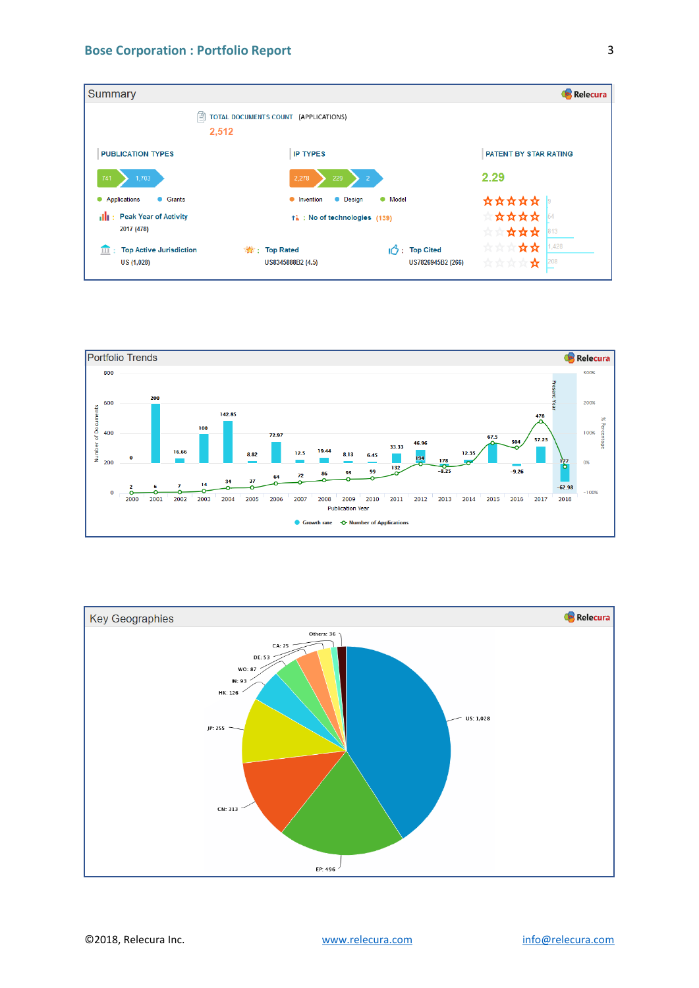| Summary                                      |                                                                                 | Relecura                                            |
|----------------------------------------------|---------------------------------------------------------------------------------|-----------------------------------------------------|
| 囼                                            | TOTAL DOCUMENTS COUNT (APPLICATIONS)<br>2,512                                   |                                                     |
| <b>PUBLICATION TYPES</b>                     | <b>IP TYPES</b>                                                                 | PATENT BY STAR RATING                               |
| 741<br>1,703                                 | 2.278<br>229<br>$\overline{2}$                                                  | 2.29                                                |
| Applications<br><b>C</b> Grants<br>٠         | <b>O</b> Model<br>Invention<br>• Design<br>٠                                    | ☆☆☆☆☆                                               |
| <b>Peak Year of Activity</b><br>2017 (478)   | ↑ : No of technologies (139)                                                    | *****<br>54<br>☆☆☆<br>813<br>727 727                |
| <b>Top Active Jurisdiction</b><br>US (1,028) | $\sqrt{2}$ : Top Cited<br>t Top Rated<br>US8345888B2 (4.5)<br>US7826945B2 (266) | 1,428<br>☆☆<br>☆☆☆<br>$\overline{208}$<br>☆☆☆☆<br>☆ |



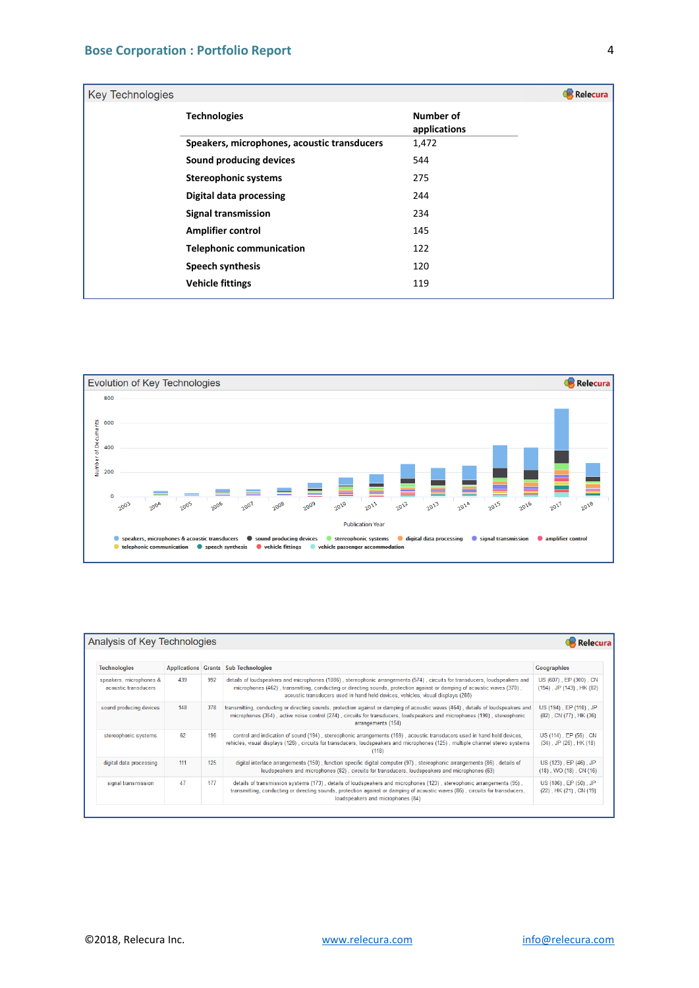| <b>Key Technologies</b> |                                             |                           | Relecura |
|-------------------------|---------------------------------------------|---------------------------|----------|
|                         | <b>Technologies</b>                         | Number of<br>applications |          |
|                         | Speakers, microphones, acoustic transducers | 1,472                     |          |
|                         | Sound producing devices                     | 544                       |          |
|                         | <b>Stereophonic systems</b>                 | 275                       |          |
|                         | <b>Digital data processing</b>              | 244                       |          |
|                         | <b>Signal transmission</b>                  | 234                       |          |
|                         | <b>Amplifier control</b>                    | 145                       |          |
|                         | <b>Telephonic communication</b>             | 122                       |          |
|                         | <b>Speech synthesis</b>                     | 120                       |          |
|                         | <b>Vehicle fittings</b>                     | 119                       |          |



| Analysis of Key Technologies<br>Relecura        |     |     |                                                                                                                                                                                                                                                                                                                                           |                                                            |
|-------------------------------------------------|-----|-----|-------------------------------------------------------------------------------------------------------------------------------------------------------------------------------------------------------------------------------------------------------------------------------------------------------------------------------------------|------------------------------------------------------------|
| <b>Technologies</b>                             |     |     | <b>Applications Grants Sub Technologies</b>                                                                                                                                                                                                                                                                                               | Geographies                                                |
| speakers, microphones &<br>acoustic transducers | 439 | 992 | details of loudspeakers and microphones (1086), stereophonic arrangements (574), circuits for transducers, loudspeakers and<br>microphones (462), transmitting, conducting or directing sounds, protection against or damping of acoustic waves (370),<br>acoustic transducers used in hand held devices, vehicles, visual displays (288) | US (607), EP (300), CN<br>$(194)$ , JP $(143)$ , HK $(82)$ |
| sound producing devices                         | 148 | 378 | transmitting, conducting or directing sounds, protection against or damping of acoustic waves (464), details of loudspeakers and<br>microphones (354), active noise control (274), circuits for transducers, loudspeakers and microphones (190), stereophonic<br>arrangements (154)                                                       | US (194), EP (110), JP<br>$(82)$ , CN $(77)$ , HK $(36)$   |
| stereophonic systems                            | 62  | 196 | control and indication of sound (194), stereophonic arrangements (169), acoustic transducers used in hand held devices,<br>vehicles, visual displays (126), circuits for transducers, loudspeakers and microphones (125), multiple channel stereo systems<br>(118)                                                                        | US (114), EP (56), CN<br>$(34)$ , JP $(26)$ , HK $(18)$    |
| digital data processing                         | 111 | 125 | digital interface arrangements (150), function specific digital computer (97), stereophonic arrangements (86), details of<br>loudspeakers and microphones (82), circuits for transducers, loudspeakers and microphones (63)                                                                                                               | US (123), EP (46), JP<br>$(18)$ , WO $(18)$ , CN $(16)$    |
| signal transmission                             | 47  | 177 | details of transmission systems (173), details of loudspeakers and microphones (123), stereophonic arrangements (95),<br>transmitting, conducting or directing sounds, protection against or damping of acoustic waves (86), circuits for transducers,<br>loudspeakers and microphones (84)                                               | US (106), EP (50), JP<br>(22), HK (21), CN (19)            |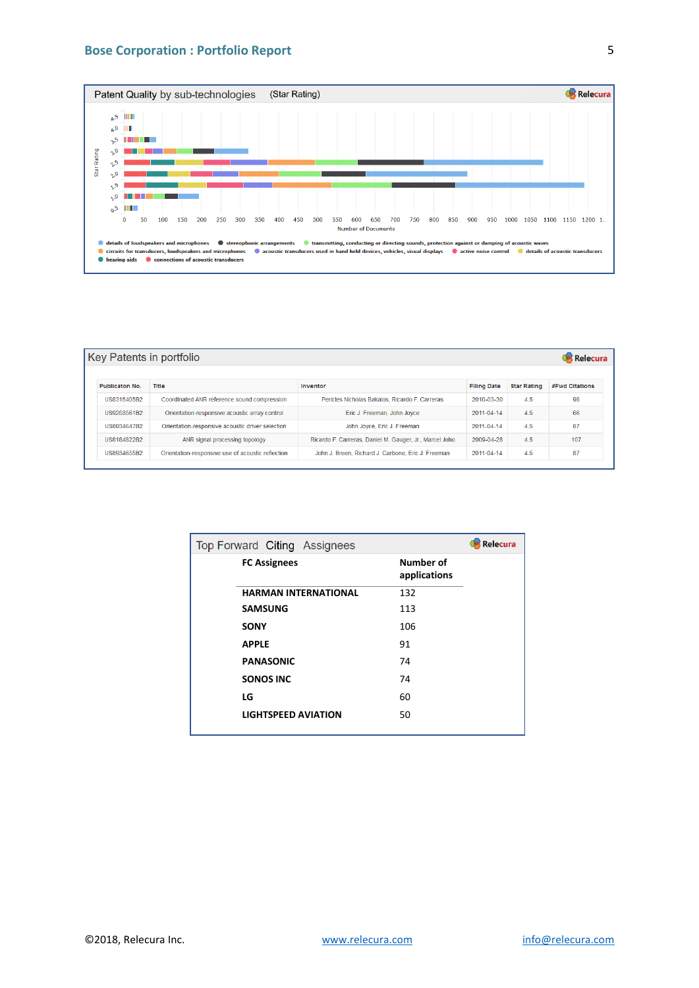

| Key Patents in portfolio |                                                   |                                                         |                    |                    |                       |  |
|--------------------------|---------------------------------------------------|---------------------------------------------------------|--------------------|--------------------|-----------------------|--|
| <b>Publicaton No.</b>    | Title                                             | Inventor                                                | <b>Filing Date</b> | <b>Star Rating</b> | <b>#Fwd Citations</b> |  |
| US8315405B2              | Coordinated ANR reference sound compression       | Pericles Nicholas Bakalos, Ricardo F. Carreras          | 2010-03-30         | 4.5                | 98                    |  |
| US9253561B2              | Orientation-responsive acoustic array control     | Eric J. Freeman, John Joyce                             | $2011 - 04 - 14$   | 4.5                | 66                    |  |
| US8934647B2              | Orientation-responsive acoustic driver selection  | John Joyce, Eric J. Freeman                             | 2011-04-14         | 4.5                | 87                    |  |
| US8184822B2              | ANR signal processing topology                    | Ricardo F. Carreras, Daniel M. Gauger, Jr., Marcel Joho | 2009-04-28         | 4.5                | 107                   |  |
| US8934655B2              | Orientation-responsive use of acoustic reflection | John J. Breen, Richard J. Carbone, Eric J. Freeman      | 2011-04-14         | 4.5                | 87                    |  |

| <b>Relecura</b><br>Top Forward Citing Assignees |                             |                                  |  |  |
|-------------------------------------------------|-----------------------------|----------------------------------|--|--|
|                                                 | <b>FC Assignees</b>         | <b>Number of</b><br>applications |  |  |
|                                                 | <b>HARMAN INTERNATIONAL</b> | 132                              |  |  |
|                                                 | <b>SAMSUNG</b>              | 113                              |  |  |
|                                                 | <b>SONY</b>                 | 106                              |  |  |
|                                                 | <b>APPLE</b>                | 91                               |  |  |
|                                                 | <b>PANASONIC</b>            | 74                               |  |  |
|                                                 | <b>SONOS INC</b>            | 74                               |  |  |
|                                                 | LG                          | 60                               |  |  |
|                                                 | <b>LIGHTSPEED AVIATION</b>  | 50                               |  |  |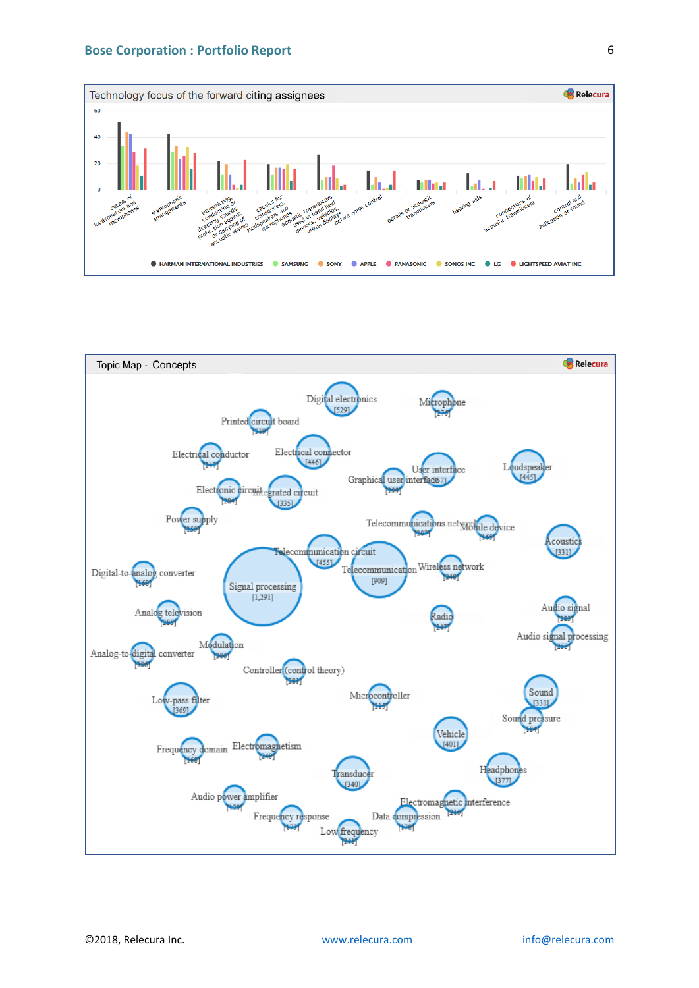